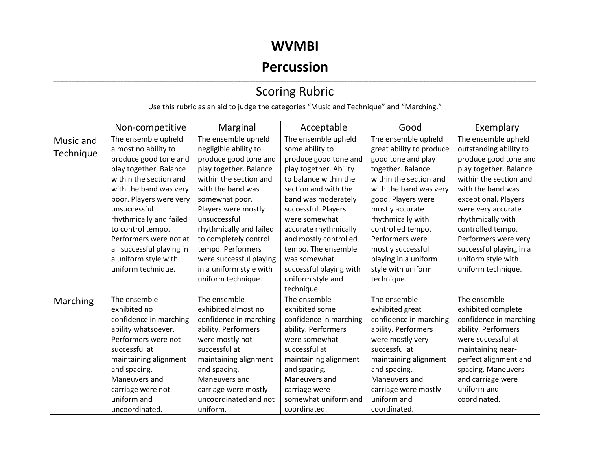#### **WVMBI**

## **Percussion**

#### ,我们也不会不会不会。""我们的,我们也不会不会不会不会不会不会不会不会。""我们的,我们也不会不会不会不会不会不会不会不会。""我们的,我们也不会不会不会不会 Scoring Rubric

Use this rubric as an aid to judge the categories "Music and Technique" and "Marching."

|                        | Non-competitive           | Marginal                | Acceptable              | Good                     | Exemplary               |
|------------------------|---------------------------|-------------------------|-------------------------|--------------------------|-------------------------|
| Music and              | The ensemble upheld       | The ensemble upheld     | The ensemble upheld     | The ensemble upheld      | The ensemble upheld     |
| Technique              | almost no ability to      | negligible ability to   | some ability to         | great ability to produce | outstanding ability to  |
|                        | produce good tone and     | produce good tone and   | produce good tone and   | good tone and play       | produce good tone and   |
|                        | play together. Balance    | play together. Balance  | play together. Ability  | together. Balance        | play together. Balance  |
|                        | within the section and    | within the section and  | to balance within the   | within the section and   | within the section and  |
| with the band was very |                           | with the band was       | section and with the    | with the band was very   | with the band was       |
|                        | poor. Players were very   | somewhat poor.          | band was moderately     | good. Players were       | exceptional. Players    |
|                        | unsuccessful              | Players were mostly     | successful. Players     | mostly accurate          | were very accurate      |
|                        | rhythmically and failed   | unsuccessful            | were somewhat           | rhythmically with        | rhythmically with       |
|                        | to control tempo.         | rhythmically and failed | accurate rhythmically   | controlled tempo.        | controlled tempo.       |
|                        | Performers were not at    | to completely control   | and mostly controlled   | Performers were          | Performers were very    |
|                        | all successful playing in | tempo. Performers       | tempo. The ensemble     | mostly successful        | successful playing in a |
|                        | a uniform style with      | were successful playing | was somewhat            | playing in a uniform     | uniform style with      |
|                        | uniform technique.        | in a uniform style with | successful playing with | style with uniform       | uniform technique.      |
|                        |                           | uniform technique.      | uniform style and       | technique.               |                         |
|                        |                           |                         | technique.              |                          |                         |
| Marching               | The ensemble              | The ensemble            | The ensemble            | The ensemble             | The ensemble            |
|                        | exhibited no              | exhibited almost no     | exhibited some          | exhibited great          | exhibited complete      |
|                        | confidence in marching    | confidence in marching  | confidence in marching  | confidence in marching   | confidence in marching  |
|                        | ability whatsoever.       | ability. Performers     | ability. Performers     | ability. Performers      | ability. Performers     |
|                        | Performers were not       | were mostly not         | were somewhat           | were mostly very         | were successful at      |
|                        | successful at             | successful at           | successful at           | successful at            | maintaining near-       |
|                        | maintaining alignment     | maintaining alignment   | maintaining alignment   | maintaining alignment    | perfect alignment and   |
|                        | and spacing.              | and spacing.            | and spacing.            | and spacing.             | spacing. Maneuvers      |
|                        | Maneuvers and             | Maneuvers and           | Maneuvers and           | Maneuvers and            | and carriage were       |
|                        | carriage were not         | carriage were mostly    | carriage were           | carriage were mostly     | uniform and             |
|                        | uniform and               | uncoordinated and not   | somewhat uniform and    | uniform and              | coordinated.            |
|                        | uncoordinated.            | uniform.                | coordinated.            | coordinated.             |                         |